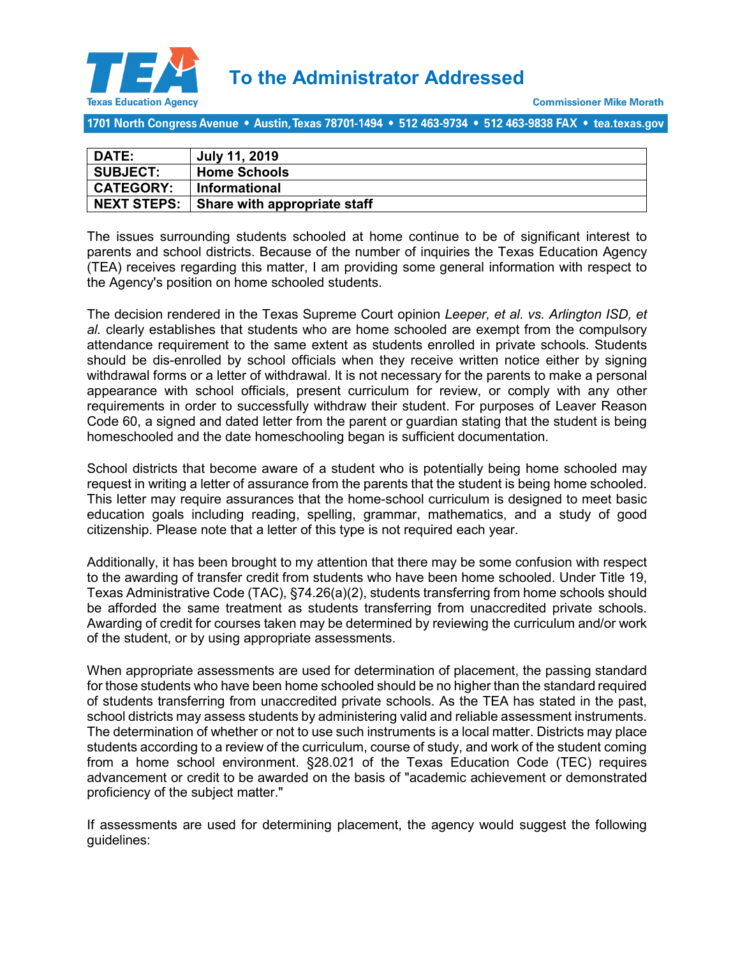

1701 North Congress Avenue • Austin, Texas 78701-1494 • 512 463-9734 • 512 463-9838 FAX • tea.texas.gov

| <b>DATE:</b>       | July 11, 2019                |
|--------------------|------------------------------|
| <b>SUBJECT:</b>    | <b>Home Schools</b>          |
| <b>CATEGORY:</b>   | <b>Informational</b>         |
| <b>NEXT STEPS:</b> | Share with appropriate staff |

The issues surrounding students schooled at home continue to be of significant interest to parents and school districts. Because of the number of inquiries the Texas Education Agency (TEA) receives regarding this matter, I am providing some general information with respect to the Agency's position on home schooled students.

The decision rendered in the Texas Supreme Court opinion *Leeper, et al. vs. Arlington ISD, et al.* clearly establishes that students who are home schooled are exempt from the compulsory attendance requirement to the same extent as students enrolled in private schools. Students should be dis-enrolled by school officials when they receive written notice either by signing withdrawal forms or a letter of withdrawal. It is not necessary for the parents to make a personal appearance with school officials, present curriculum for review, or comply with any other requirements in order to successfully withdraw their student. For purposes of Leaver Reason Code 60, a signed and dated letter from the parent or guardian stating that the student is being homeschooled and the date homeschooling began is sufficient documentation.

School districts that become aware of a student who is potentially being home schooled may request in writing a letter of assurance from the parents that the student is being home schooled. This letter may require assurances that the home-school curriculum is designed to meet basic education goals including reading, spelling, grammar, mathematics, and a study of good citizenship. Please note that a letter of this type is not required each year.

Additionally, it has been brought to my attention that there may be some confusion with respect to the awarding of transfer credit from students who have been home schooled. Under Title 19, Texas Administrative Code (TAC), §74.26(a)(2), students transferring from home schools should be afforded the same treatment as students transferring from unaccredited private schools. Awarding of credit for courses taken may be determined by reviewing the curriculum and/or work of the student, or by using appropriate assessments.

When appropriate assessments are used for determination of placement, the passing standard for those students who have been home schooled should be no higher than the standard required of students transferring from unaccredited private schools. As the TEA has stated in the past, school districts may assess students by administering valid and reliable assessment instruments. The determination of whether or not to use such instruments is a local matter. Districts may place students according to a review of the curriculum, course of study, and work of the student coming from a home school environment. §28.021 of the Texas Education Code (TEC) requires advancement or credit to be awarded on the basis of "academic achievement or demonstrated proficiency of the subject matter."

If assessments are used for determining placement, the agency would suggest the following guidelines: